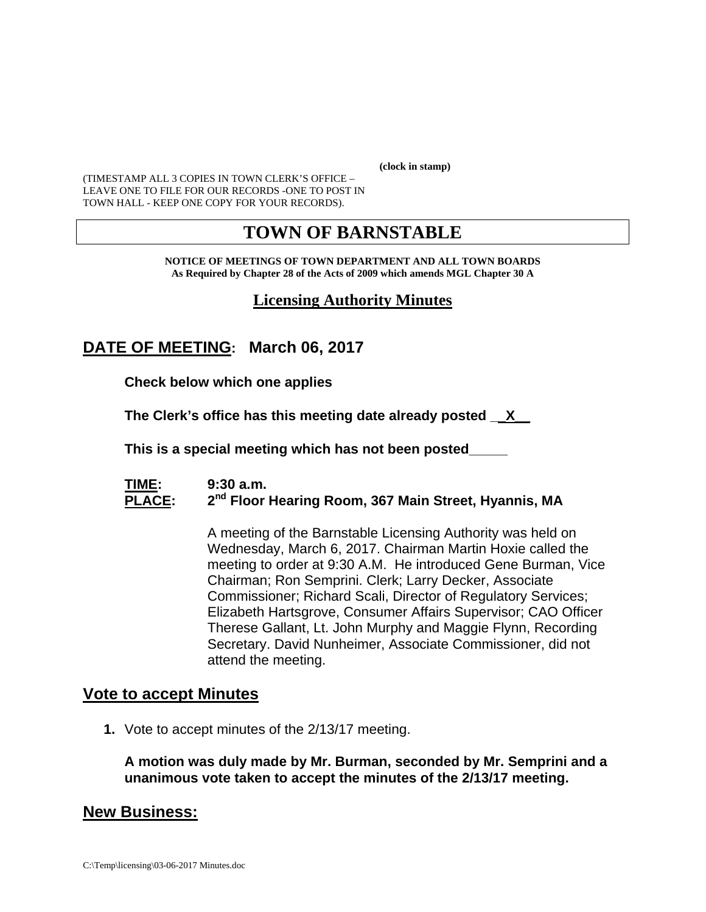**(clock in stamp)** 

(TIMESTAMP ALL 3 COPIES IN TOWN CLERK'S OFFICE – LEAVE ONE TO FILE FOR OUR RECORDS -ONE TO POST IN TOWN HALL - KEEP ONE COPY FOR YOUR RECORDS).

# **TOWN OF BARNSTABLE**

**NOTICE OF MEETINGS OF TOWN DEPARTMENT AND ALL TOWN BOARDS As Required by Chapter 28 of the Acts of 2009 which amends MGL Chapter 30 A** 

### **Licensing Authority Minutes**

## **DATE OF MEETING: March 06, 2017**

**Check below which one applies** 

**The Clerk's office has this meeting date already posted \_\_X\_\_** 

 **This is a special meeting which has not been posted\_\_\_\_\_** 

#### **TIME: 9:30 a.m.**  PLACE: 2<sup>nd</sup> Floor Hearing Room, 367 Main Street, Hyannis, MA

A meeting of the Barnstable Licensing Authority was held on Wednesday, March 6, 2017. Chairman Martin Hoxie called the meeting to order at 9:30 A.M. He introduced Gene Burman, Vice Chairman; Ron Semprini. Clerk; Larry Decker, Associate Commissioner; Richard Scali, Director of Regulatory Services; Elizabeth Hartsgrove, Consumer Affairs Supervisor; CAO Officer Therese Gallant, Lt. John Murphy and Maggie Flynn, Recording Secretary. David Nunheimer, Associate Commissioner, did not attend the meeting.

#### **Vote to accept Minutes**

**1.** Vote to accept minutes of the 2/13/17 meeting.

**A motion was duly made by Mr. Burman, seconded by Mr. Semprini and a unanimous vote taken to accept the minutes of the 2/13/17 meeting.** 

#### **New Business:**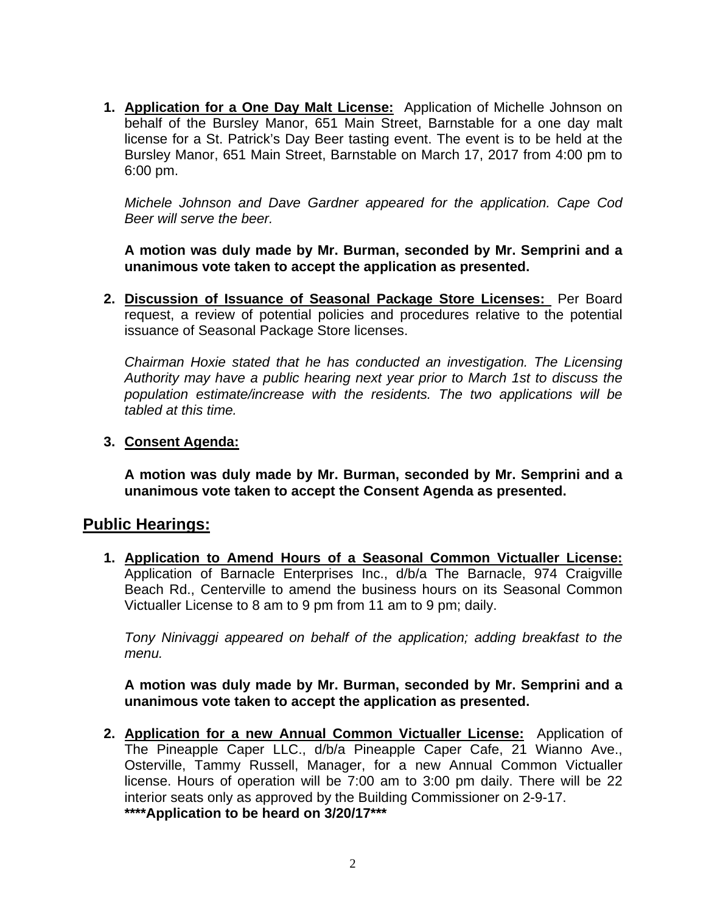**1. Application for a One Day Malt License:** Application of Michelle Johnson on behalf of the Bursley Manor, 651 Main Street, Barnstable for a one day malt license for a St. Patrick's Day Beer tasting event. The event is to be held at the Bursley Manor, 651 Main Street, Barnstable on March 17, 2017 from 4:00 pm to 6:00 pm.

*Michele Johnson and Dave Gardner appeared for the application. Cape Cod Beer will serve the beer.* 

**A motion was duly made by Mr. Burman, seconded by Mr. Semprini and a unanimous vote taken to accept the application as presented.** 

**2. Discussion of Issuance of Seasonal Package Store Licenses:** Per Board request, a review of potential policies and procedures relative to the potential issuance of Seasonal Package Store licenses.

*Chairman Hoxie stated that he has conducted an investigation. The Licensing Authority may have a public hearing next year prior to March 1st to discuss the population estimate/increase with the residents. The two applications will be tabled at this time.* 

#### **3. Consent Agenda:**

**A motion was duly made by Mr. Burman, seconded by Mr. Semprini and a unanimous vote taken to accept the Consent Agenda as presented.** 

#### **Public Hearings:**

**1. Application to Amend Hours of a Seasonal Common Victualler License:** Application of Barnacle Enterprises Inc., d/b/a The Barnacle, 974 Craigville Beach Rd., Centerville to amend the business hours on its Seasonal Common Victualler License to 8 am to 9 pm from 11 am to 9 pm; daily.

*Tony Ninivaggi appeared on behalf of the application; adding breakfast to the menu.* 

**A motion was duly made by Mr. Burman, seconded by Mr. Semprini and a unanimous vote taken to accept the application as presented.** 

**2. Application for a new Annual Common Victualler License:** Application of The Pineapple Caper LLC., d/b/a Pineapple Caper Cafe, 21 Wianno Ave., Osterville, Tammy Russell, Manager, for a new Annual Common Victualler license. Hours of operation will be 7:00 am to 3:00 pm daily. There will be 22 interior seats only as approved by the Building Commissioner on 2-9-17. **\*\*\*\*Application to be heard on 3/20/17\*\*\***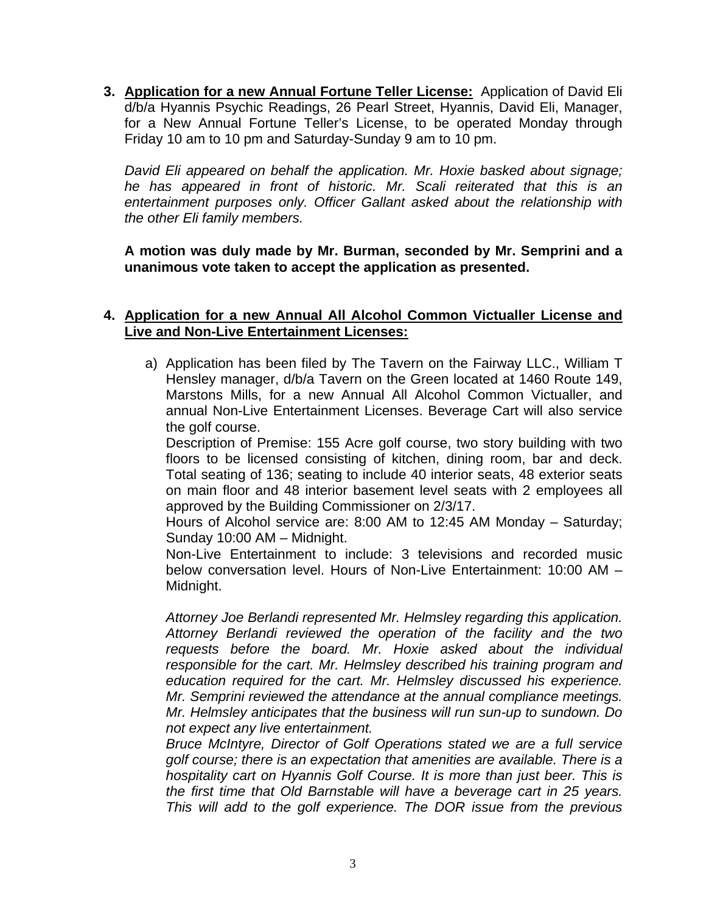**3. Application for a new Annual Fortune Teller License:** Application of David Eli d/b/a Hyannis Psychic Readings, 26 Pearl Street, Hyannis, David Eli, Manager, for a New Annual Fortune Teller's License, to be operated Monday through Friday 10 am to 10 pm and Saturday-Sunday 9 am to 10 pm.

*David Eli appeared on behalf the application. Mr. Hoxie basked about signage; he has appeared in front of historic. Mr. Scali reiterated that this is an entertainment purposes only. Officer Gallant asked about the relationship with the other Eli family members.* 

**A motion was duly made by Mr. Burman, seconded by Mr. Semprini and a unanimous vote taken to accept the application as presented.** 

#### **4. Application for a new Annual All Alcohol Common Victualler License and Live and Non-Live Entertainment Licenses:**

a) Application has been filed by The Tavern on the Fairway LLC., William T Hensley manager, d/b/a Tavern on the Green located at 1460 Route 149, Marstons Mills, for a new Annual All Alcohol Common Victualler, and annual Non-Live Entertainment Licenses. Beverage Cart will also service the golf course.

Description of Premise: 155 Acre golf course, two story building with two floors to be licensed consisting of kitchen, dining room, bar and deck. Total seating of 136; seating to include 40 interior seats, 48 exterior seats on main floor and 48 interior basement level seats with 2 employees all approved by the Building Commissioner on 2/3/17.

Hours of Alcohol service are: 8:00 AM to 12:45 AM Monday – Saturday; Sunday 10:00 AM – Midnight.

Non-Live Entertainment to include: 3 televisions and recorded music below conversation level. Hours of Non-Live Entertainment: 10:00 AM – Midnight.

*Attorney Joe Berlandi represented Mr. Helmsley regarding this application. Attorney Berlandi reviewed the operation of the facility and the two requests before the board. Mr. Hoxie asked about the individual responsible for the cart. Mr. Helmsley described his training program and education required for the cart. Mr. Helmsley discussed his experience. Mr. Semprini reviewed the attendance at the annual compliance meetings. Mr. Helmsley anticipates that the business will run sun-up to sundown. Do not expect any live entertainment.* 

*Bruce McIntyre, Director of Golf Operations stated we are a full service golf course; there is an expectation that amenities are available. There is a hospitality cart on Hyannis Golf Course. It is more than just beer. This is the first time that Old Barnstable will have a beverage cart in 25 years. This will add to the golf experience. The DOR issue from the previous*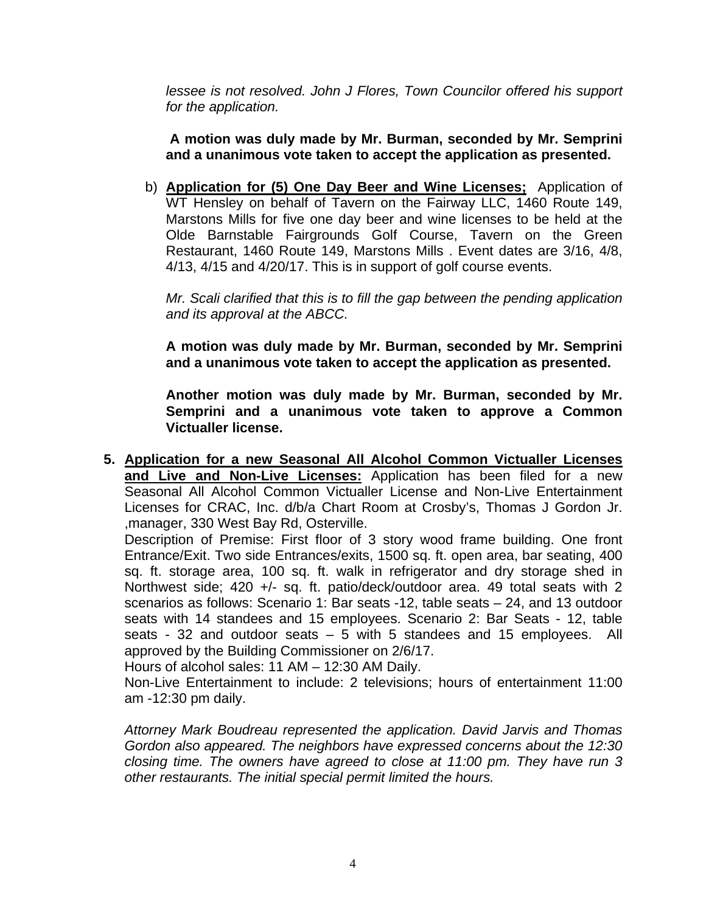*lessee is not resolved. John J Flores, Town Councilor offered his support for the application.* 

**A motion was duly made by Mr. Burman, seconded by Mr. Semprini and a unanimous vote taken to accept the application as presented.** 

b) **Application for (5) One Day Beer and Wine Licenses;** Application of WT Hensley on behalf of Tavern on the Fairway LLC, 1460 Route 149, Marstons Mills for five one day beer and wine licenses to be held at the Olde Barnstable Fairgrounds Golf Course, Tavern on the Green Restaurant, 1460 Route 149, Marstons Mills . Event dates are 3/16, 4/8, 4/13, 4/15 and 4/20/17. This is in support of golf course events.

*Mr. Scali clarified that this is to fill the gap between the pending application and its approval at the ABCC.* 

**A motion was duly made by Mr. Burman, seconded by Mr. Semprini and a unanimous vote taken to accept the application as presented.** 

**Another motion was duly made by Mr. Burman, seconded by Mr. Semprini and a unanimous vote taken to approve a Common Victualler license.** 

**5. Application for a new Seasonal All Alcohol Common Victualler Licenses and Live and Non-Live Licenses:** Application has been filed for a new Seasonal All Alcohol Common Victualler License and Non-Live Entertainment Licenses for CRAC, Inc. d/b/a Chart Room at Crosby's, Thomas J Gordon Jr. ,manager, 330 West Bay Rd, Osterville.

Description of Premise: First floor of 3 story wood frame building. One front Entrance/Exit. Two side Entrances/exits, 1500 sq. ft. open area, bar seating, 400 sq. ft. storage area, 100 sq. ft. walk in refrigerator and dry storage shed in Northwest side; 420 +/- sq. ft. patio/deck/outdoor area. 49 total seats with 2 scenarios as follows: Scenario 1: Bar seats -12, table seats – 24, and 13 outdoor seats with 14 standees and 15 employees. Scenario 2: Bar Seats - 12, table seats - 32 and outdoor seats – 5 with 5 standees and 15 employees. All approved by the Building Commissioner on 2/6/17.

Hours of alcohol sales: 11 AM – 12:30 AM Daily.

Non-Live Entertainment to include: 2 televisions; hours of entertainment 11:00 am -12:30 pm daily.

*Attorney Mark Boudreau represented the application. David Jarvis and Thomas Gordon also appeared. The neighbors have expressed concerns about the 12:30 closing time. The owners have agreed to close at 11:00 pm. They have run 3 other restaurants. The initial special permit limited the hours.*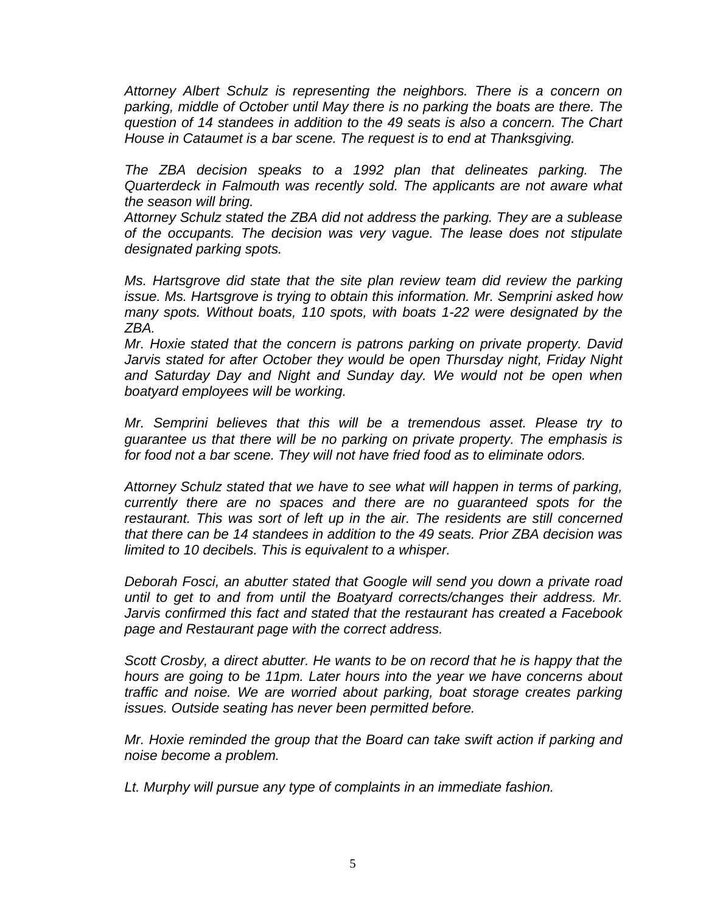*Attorney Albert Schulz is representing the neighbors. There is a concern on parking, middle of October until May there is no parking the boats are there. The question of 14 standees in addition to the 49 seats is also a concern. The Chart House in Cataumet is a bar scene. The request is to end at Thanksgiving.* 

*The ZBA decision speaks to a 1992 plan that delineates parking. The Quarterdeck in Falmouth was recently sold. The applicants are not aware what the season will bring.* 

*Attorney Schulz stated the ZBA did not address the parking. They are a sublease of the occupants. The decision was very vague. The lease does not stipulate designated parking spots.* 

*Ms. Hartsgrove did state that the site plan review team did review the parking issue. Ms. Hartsgrove is trying to obtain this information. Mr. Semprini asked how many spots. Without boats, 110 spots, with boats 1-22 were designated by the ZBA.* 

*Mr. Hoxie stated that the concern is patrons parking on private property. David Jarvis stated for after October they would be open Thursday night, Friday Night and Saturday Day and Night and Sunday day. We would not be open when boatyard employees will be working.* 

*Mr. Semprini believes that this will be a tremendous asset. Please try to guarantee us that there will be no parking on private property. The emphasis is for food not a bar scene. They will not have fried food as to eliminate odors.* 

*Attorney Schulz stated that we have to see what will happen in terms of parking, currently there are no spaces and there are no guaranteed spots for the restaurant. This was sort of left up in the air. The residents are still concerned that there can be 14 standees in addition to the 49 seats. Prior ZBA decision was limited to 10 decibels. This is equivalent to a whisper.* 

*Deborah Fosci, an abutter stated that Google will send you down a private road until to get to and from until the Boatyard corrects/changes their address. Mr. Jarvis confirmed this fact and stated that the restaurant has created a Facebook page and Restaurant page with the correct address.* 

*Scott Crosby, a direct abutter. He wants to be on record that he is happy that the hours are going to be 11pm. Later hours into the year we have concerns about traffic and noise. We are worried about parking, boat storage creates parking issues. Outside seating has never been permitted before.* 

*Mr. Hoxie reminded the group that the Board can take swift action if parking and noise become a problem.* 

*Lt. Murphy will pursue any type of complaints in an immediate fashion.*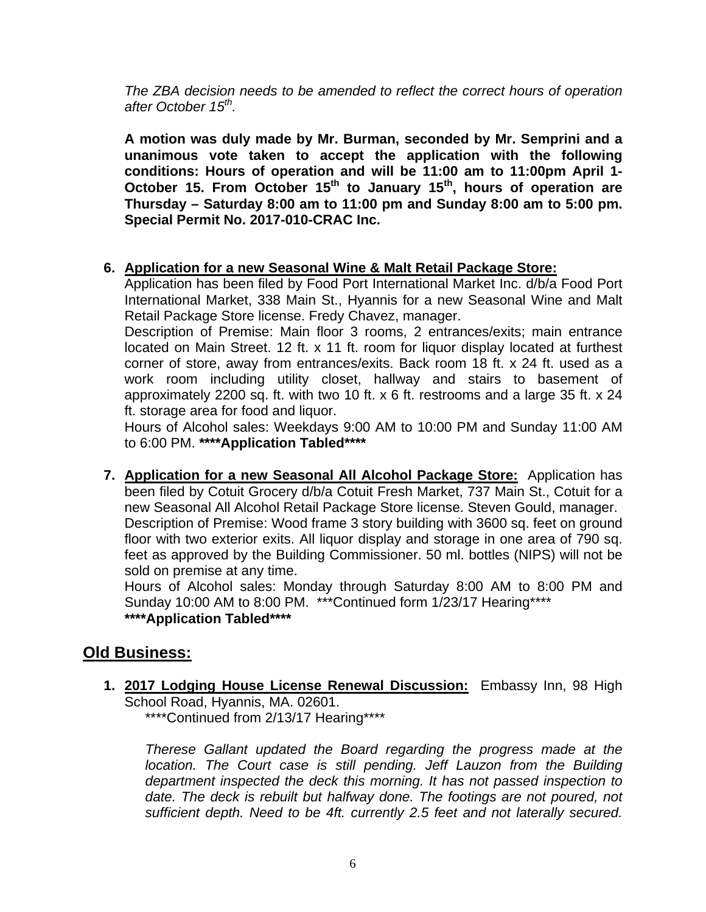*The ZBA decision needs to be amended to reflect the correct hours of operation after October 15th.* 

**A motion was duly made by Mr. Burman, seconded by Mr. Semprini and a unanimous vote taken to accept the application with the following conditions: Hours of operation and will be 11:00 am to 11:00pm April 1- October 15. From October 15th to January 15th, hours of operation are Thursday – Saturday 8:00 am to 11:00 pm and Sunday 8:00 am to 5:00 pm. Special Permit No. 2017-010-CRAC Inc.** 

#### **6. Application for a new Seasonal Wine & Malt Retail Package Store:**

Application has been filed by Food Port International Market Inc. d/b/a Food Port International Market, 338 Main St., Hyannis for a new Seasonal Wine and Malt Retail Package Store license. Fredy Chavez, manager.

Description of Premise: Main floor 3 rooms, 2 entrances/exits; main entrance located on Main Street. 12 ft. x 11 ft. room for liquor display located at furthest corner of store, away from entrances/exits. Back room 18 ft. x 24 ft. used as a work room including utility closet, hallway and stairs to basement of approximately 2200 sq. ft. with two 10 ft. x 6 ft. restrooms and a large 35 ft. x 24 ft. storage area for food and liquor.

Hours of Alcohol sales: Weekdays 9:00 AM to 10:00 PM and Sunday 11:00 AM to 6:00 PM. **\*\*\*\*Application Tabled\*\*\*\*** 

**7. Application for a new Seasonal All Alcohol Package Store:** Application has been filed by Cotuit Grocery d/b/a Cotuit Fresh Market, 737 Main St., Cotuit for a new Seasonal All Alcohol Retail Package Store license. Steven Gould, manager. Description of Premise: Wood frame 3 story building with 3600 sq. feet on ground floor with two exterior exits. All liquor display and storage in one area of 790 sq. feet as approved by the Building Commissioner. 50 ml. bottles (NIPS) will not be sold on premise at any time.

Hours of Alcohol sales: Monday through Saturday 8:00 AM to 8:00 PM and Sunday 10:00 AM to 8:00 PM. \*\*\*Continued form 1/23/17 Hearing\*\*\*\* **\*\*\*\*Application Tabled\*\*\*\*** 

## **Old Business:**

**1. 2017 Lodging House License Renewal Discussion:** Embassy Inn, 98 High School Road, Hyannis, MA. 02601. \*\*\*\*Continued from 2/13/17 Hearing\*\*\*\*

*Therese Gallant updated the Board regarding the progress made at the*  location. The Court case is still pending. Jeff Lauzon from the Building *department inspected the deck this morning. It has not passed inspection to*  date. The deck is rebuilt but halfway done. The footings are not poured, not *sufficient depth. Need to be 4ft. currently 2.5 feet and not laterally secured.*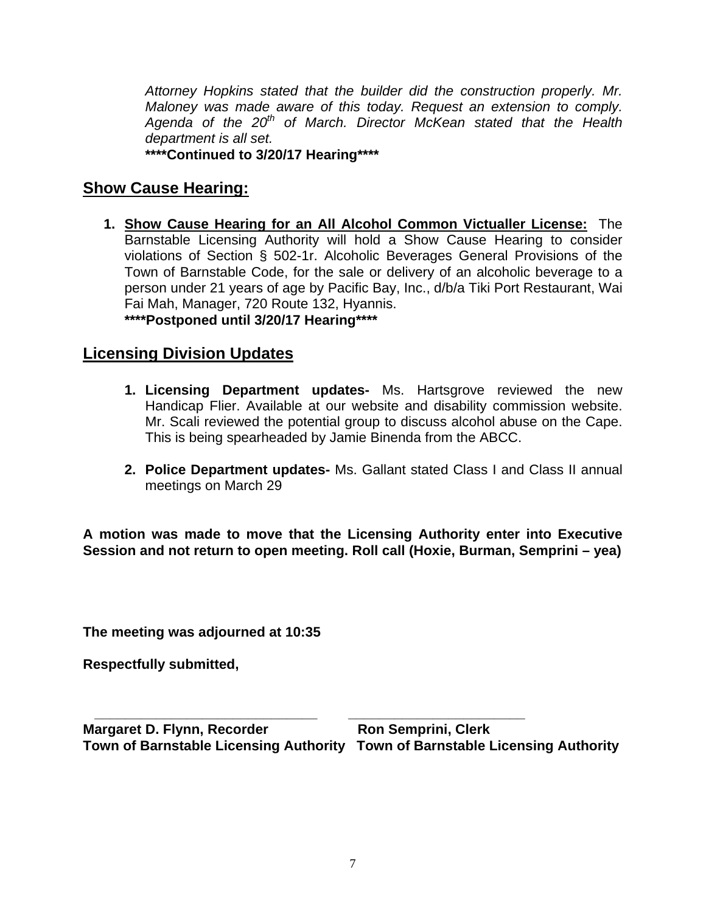*Attorney Hopkins stated that the builder did the construction properly. Mr. Maloney was made aware of this today. Request an extension to comply. Agenda of the 20th of March. Director McKean stated that the Health department is all set.*  **\*\*\*\*Continued to 3/20/17 Hearing\*\*\*\*** 

**Show Cause Hearing:** 

**1. Show Cause Hearing for an All Alcohol Common Victualler License:** The Barnstable Licensing Authority will hold a Show Cause Hearing to consider violations of Section § 502-1r. Alcoholic Beverages General Provisions of the Town of Barnstable Code, for the sale or delivery of an alcoholic beverage to a person under 21 years of age by Pacific Bay, Inc., d/b/a Tiki Port Restaurant, Wai Fai Mah, Manager, 720 Route 132, Hyannis. **\*\*\*\*Postponed until 3/20/17 Hearing\*\*\*\***

# **Licensing Division Updates**

- **1. Licensing Department updates-** Ms. Hartsgrove reviewed the new Handicap Flier. Available at our website and disability commission website. Mr. Scali reviewed the potential group to discuss alcohol abuse on the Cape. This is being spearheaded by Jamie Binenda from the ABCC.
- **2. Police Department updates-** Ms. Gallant stated Class I and Class II annual meetings on March 29

**A motion was made to move that the Licensing Authority enter into Executive Session and not return to open meeting. Roll call (Hoxie, Burman, Semprini – yea)** 

**The meeting was adjourned at 10:35** 

**Respectfully submitted,** 

 **\_\_\_\_\_\_\_\_\_\_\_\_\_\_\_\_\_\_\_\_\_\_\_\_\_\_\_\_\_ \_\_\_\_\_\_\_\_\_\_\_\_\_\_\_\_\_\_\_\_\_\_\_ Margaret D. Flynn, Recorder Margaret D. Flynn, Recorder Ron Semprini, Clerk Town of Barnstable Licensing Authority Town of Barnstable Licensing Authority**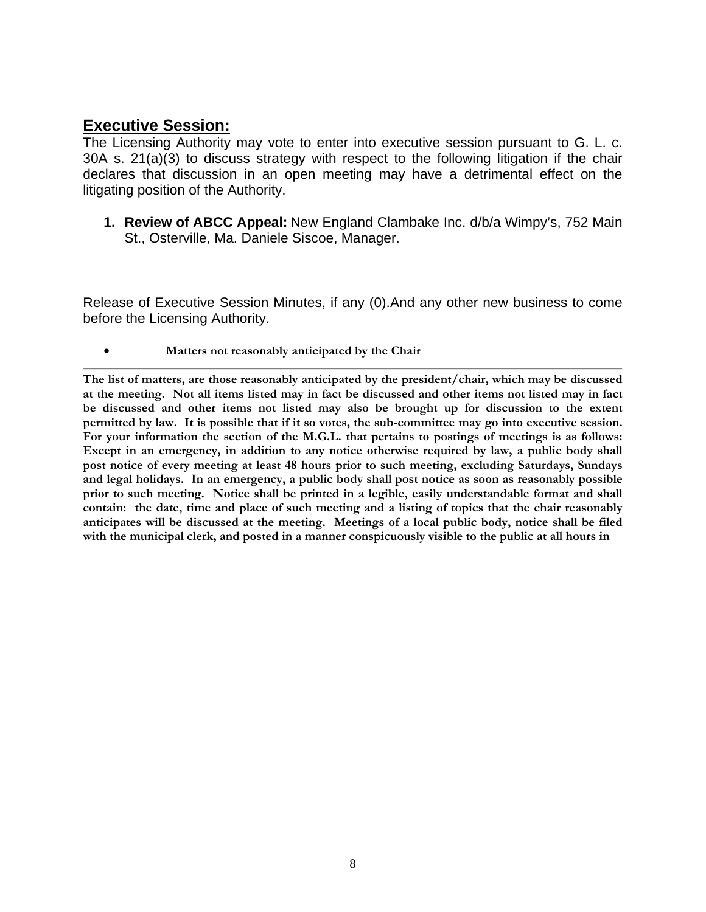## **Executive Session:**

The Licensing Authority may vote to enter into executive session pursuant to G. L. c. 30A s. 21(a)(3) to discuss strategy with respect to the following litigation if the chair declares that discussion in an open meeting may have a detrimental effect on the litigating position of the Authority.

**1. Review of ABCC Appeal:** New England Clambake Inc. d/b/a Wimpy's, 752 Main St., Osterville, Ma. Daniele Siscoe, Manager.

Release of Executive Session Minutes, if any (0).And any other new business to come before the Licensing Authority.

**Matters not reasonably anticipated by the Chair**

**The list of matters, are those reasonably anticipated by the president/chair, which may be discussed at the meeting. Not all items listed may in fact be discussed and other items not listed may in fact be discussed and other items not listed may also be brought up for discussion to the extent permitted by law. It is possible that if it so votes, the sub-committee may go into executive session. For your information the section of the M.G.L. that pertains to postings of meetings is as follows: Except in an emergency, in addition to any notice otherwise required by law, a public body shall post notice of every meeting at least 48 hours prior to such meeting, excluding Saturdays, Sundays and legal holidays. In an emergency, a public body shall post notice as soon as reasonably possible prior to such meeting. Notice shall be printed in a legible, easily understandable format and shall contain: the date, time and place of such meeting and a listing of topics that the chair reasonably anticipates will be discussed at the meeting. Meetings of a local public body, notice shall be filed with the municipal clerk, and posted in a manner conspicuously visible to the public at all hours in**